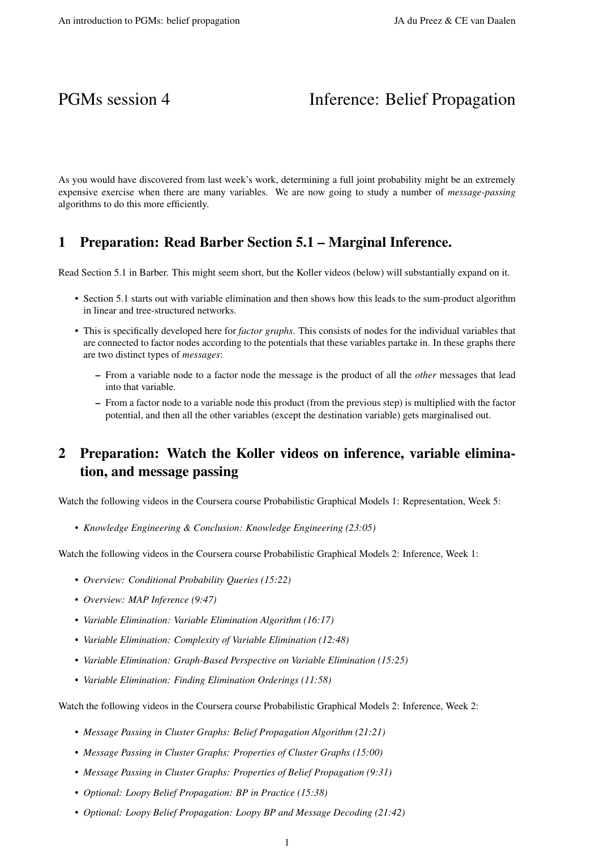# PGMs session 4 Inference: Belief Propagation

As you would have discovered from last week's work, determining a full joint probability might be an extremely expensive exercise when there are many variables. We are now going to study a number of *message-passing* algorithms to do this more efficiently.

### 1 Preparation: Read Barber Section 5.1 – Marginal Inference.

Read Section 5.1 in Barber. This might seem short, but the Koller videos (below) will substantially expand on it.

- Section 5.1 starts out with variable elimination and then shows how this leads to the sum-product algorithm in linear and tree-structured networks.
- This is specifically developed here for *factor graphs*. This consists of nodes for the individual variables that are connected to factor nodes according to the potentials that these variables partake in. In these graphs there are two distinct types of *messages*:
	- From a variable node to a factor node the message is the product of all the *other* messages that lead into that variable.
	- From a factor node to a variable node this product (from the previous step) is multiplied with the factor potential, and then all the other variables (except the destination variable) gets marginalised out.

## 2 Preparation: Watch the Koller videos on inference, variable elimination, and message passing

Watch the following videos in the Coursera course Probabilistic Graphical Models 1: Representation, Week 5:

• *Knowledge Engineering & Conclusion: Knowledge Engineering (23:05)*

Watch the following videos in the Coursera course Probabilistic Graphical Models 2: Inference, Week 1:

- *Overview: Conditional Probability Queries (15:22)*
- *Overview: MAP Inference (9:47)*
- *Variable Elimination: Variable Elimination Algorithm (16:17)*
- *Variable Elimination: Complexity of Variable Elimination (12:48)*
- *Variable Elimination: Graph-Based Perspective on Variable Elimination (15:25)*
- *Variable Elimination: Finding Elimination Orderings (11:58)*

Watch the following videos in the Coursera course Probabilistic Graphical Models 2: Inference, Week 2:

- *Message Passing in Cluster Graphs: Belief Propagation Algorithm (21:21)*
- *Message Passing in Cluster Graphs: Properties of Cluster Graphs (15:00)*
- *Message Passing in Cluster Graphs: Properties of Belief Propagation (9:31)*
- *Optional: Loopy Belief Propagation: BP in Practice (15:38)*
- *Optional: Loopy Belief Propagation: Loopy BP and Message Decoding (21:42)*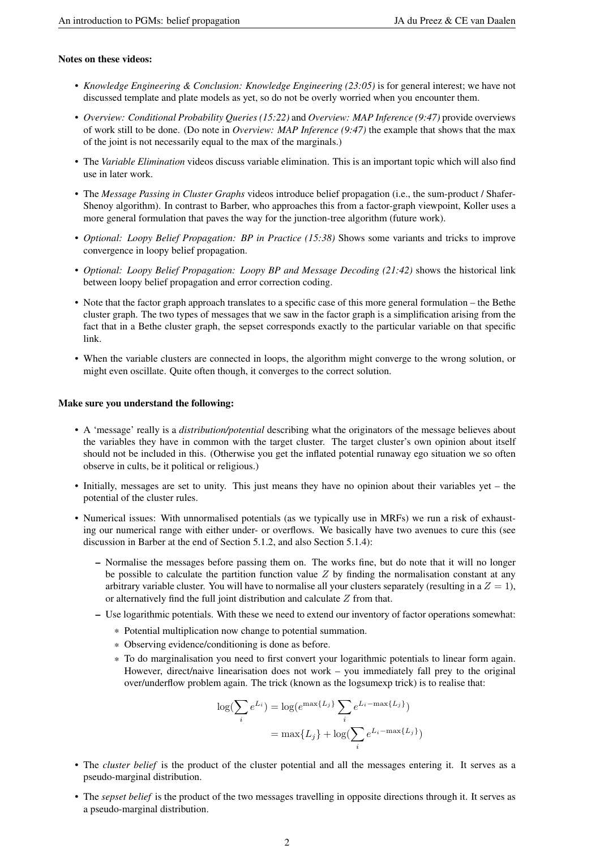### Notes on these videos:

- *Knowledge Engineering & Conclusion: Knowledge Engineering (23:05)* is for general interest; we have not discussed template and plate models as yet, so do not be overly worried when you encounter them.
- *Overview: Conditional Probability Queries (15:22)* and *Overview: MAP Inference (9:47)* provide overviews of work still to be done. (Do note in *Overview: MAP Inference (9:47)* the example that shows that the max of the joint is not necessarily equal to the max of the marginals.)
- The *Variable Elimination* videos discuss variable elimination. This is an important topic which will also find use in later work.
- The *Message Passing in Cluster Graphs* videos introduce belief propagation (i.e., the sum-product / Shafer-Shenoy algorithm). In contrast to Barber, who approaches this from a factor-graph viewpoint, Koller uses a more general formulation that paves the way for the junction-tree algorithm (future work).
- *Optional: Loopy Belief Propagation: BP in Practice (15:38)* Shows some variants and tricks to improve convergence in loopy belief propagation.
- *Optional: Loopy Belief Propagation: Loopy BP and Message Decoding (21:42)* shows the historical link between loopy belief propagation and error correction coding.
- Note that the factor graph approach translates to a specific case of this more general formulation the Bethe cluster graph. The two types of messages that we saw in the factor graph is a simplification arising from the fact that in a Bethe cluster graph, the sepset corresponds exactly to the particular variable on that specific link.
- When the variable clusters are connected in loops, the algorithm might converge to the wrong solution, or might even oscillate. Quite often though, it converges to the correct solution.

#### Make sure you understand the following:

- A 'message' really is a *distribution/potential* describing what the originators of the message believes about the variables they have in common with the target cluster. The target cluster's own opinion about itself should not be included in this. (Otherwise you get the inflated potential runaway ego situation we so often observe in cults, be it political or religious.)
- Initially, messages are set to unity. This just means they have no opinion about their variables yet the potential of the cluster rules.
- Numerical issues: With unnormalised potentials (as we typically use in MRFs) we run a risk of exhausting our numerical range with either under- or overflows. We basically have two avenues to cure this (see discussion in Barber at the end of Section 5.1.2, and also Section 5.1.4):
	- Normalise the messages before passing them on. The works fine, but do note that it will no longer be possible to calculate the partition function value  $Z$  by finding the normalisation constant at any arbitrary variable cluster. You will have to normalise all your clusters separately (resulting in a  $Z = 1$ ), or alternatively find the full joint distribution and calculate Z from that.
	- Use logarithmic potentials. With these we need to extend our inventory of factor operations somewhat:
		- \* Potential multiplication now change to potential summation.
		- \* Observing evidence/conditioning is done as before.
		- \* To do marginalisation you need to first convert your logarithmic potentials to linear form again. However, direct/naive linearisation does not work – you immediately fall prey to the original over/underflow problem again. The trick (known as the logsumexp trick) is to realise that:

$$
\log(\sum_{i} e^{L_i}) = \log(e^{\max\{L_j\}} \sum_{i} e^{L_i - \max\{L_j\}})
$$

$$
= \max\{L_j\} + \log(\sum_{i} e^{L_i - \max\{L_j\}})
$$

- The *cluster belief* is the product of the cluster potential and all the messages entering it. It serves as a pseudo-marginal distribution.
- The *sepset belief* is the product of the two messages travelling in opposite directions through it. It serves as a pseudo-marginal distribution.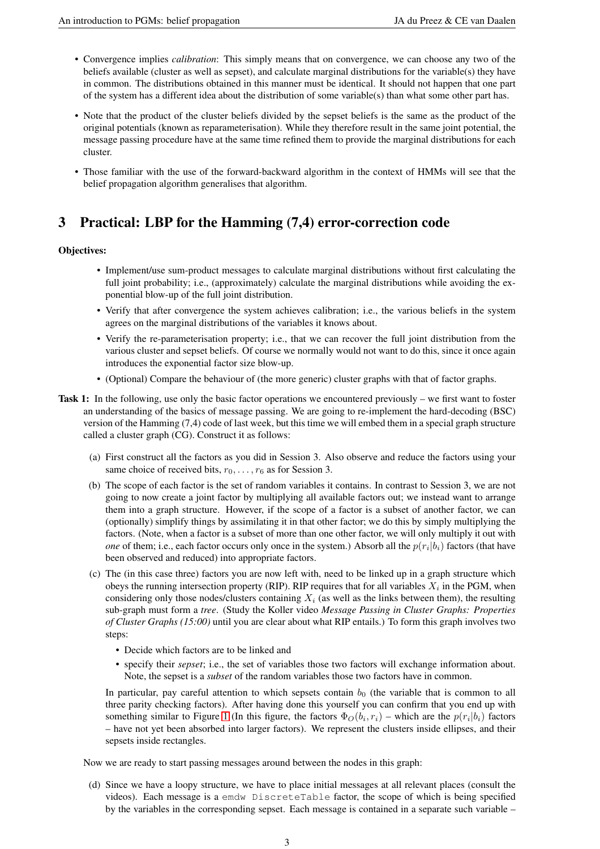- Convergence implies *calibration*: This simply means that on convergence, we can choose any two of the beliefs available (cluster as well as sepset), and calculate marginal distributions for the variable(s) they have in common. The distributions obtained in this manner must be identical. It should not happen that one part of the system has a different idea about the distribution of some variable(s) than what some other part has.
- Note that the product of the cluster beliefs divided by the sepset beliefs is the same as the product of the original potentials (known as reparameterisation). While they therefore result in the same joint potential, the message passing procedure have at the same time refined them to provide the marginal distributions for each cluster.
- Those familiar with the use of the forward-backward algorithm in the context of HMMs will see that the belief propagation algorithm generalises that algorithm.

## 3 Practical: LBP for the Hamming (7,4) error-correction code

### Objectives:

- Implement/use sum-product messages to calculate marginal distributions without first calculating the full joint probability; i.e., (approximately) calculate the marginal distributions while avoiding the exponential blow-up of the full joint distribution.
- Verify that after convergence the system achieves calibration; i.e., the various beliefs in the system agrees on the marginal distributions of the variables it knows about.
- Verify the re-parameterisation property; i.e., that we can recover the full joint distribution from the various cluster and sepset beliefs. Of course we normally would not want to do this, since it once again introduces the exponential factor size blow-up.
- (Optional) Compare the behaviour of (the more generic) cluster graphs with that of factor graphs.
- Task 1: In the following, use only the basic factor operations we encountered previously we first want to foster an understanding of the basics of message passing. We are going to re-implement the hard-decoding (BSC) version of the Hamming (7,4) code of last week, but this time we will embed them in a special graph structure called a cluster graph (CG). Construct it as follows:
	- (a) First construct all the factors as you did in Session 3. Also observe and reduce the factors using your same choice of received bits,  $r_0, \ldots, r_6$  as for Session 3.
	- (b) The scope of each factor is the set of random variables it contains. In contrast to Session 3, we are not going to now create a joint factor by multiplying all available factors out; we instead want to arrange them into a graph structure. However, if the scope of a factor is a subset of another factor, we can (optionally) simplify things by assimilating it in that other factor; we do this by simply multiplying the factors. (Note, when a factor is a subset of more than one other factor, we will only multiply it out with *one* of them; i.e., each factor occurs only once in the system.) Absorb all the  $p(r_i|b_i)$  factors (that have been observed and reduced) into appropriate factors.
	- (c) The (in this case three) factors you are now left with, need to be linked up in a graph structure which obeys the running intersection property (RIP). RIP requires that for all variables  $X_i$  in the PGM, when considering only those nodes/clusters containing  $X_i$  (as well as the links between them), the resulting sub-graph must form a *tree*. (Study the Koller video *Message Passing in Cluster Graphs: Properties of Cluster Graphs (15:00)* until you are clear about what RIP entails.) To form this graph involves two steps:
		- Decide which factors are to be linked and
		- specify their *sepset*; i.e., the set of variables those two factors will exchange information about. Note, the sepset is a *subset* of the random variables those two factors have in common.

In particular, pay careful attention to which sepsets contain  $b<sub>0</sub>$  (the variable that is common to all three parity checking factors). After having done this yourself you can confirm that you end up with something similar to Figure [1](#page-5-0) (In this figure, the factors  $\Phi_O(b_i, r_i)$  – which are the  $p(r_i|b_i)$  factors – have not yet been absorbed into larger factors). We represent the clusters inside ellipses, and their sepsets inside rectangles.

Now we are ready to start passing messages around between the nodes in this graph:

(d) Since we have a loopy structure, we have to place initial messages at all relevant places (consult the videos). Each message is a emdw DiscreteTable factor, the scope of which is being specified by the variables in the corresponding sepset. Each message is contained in a separate such variable –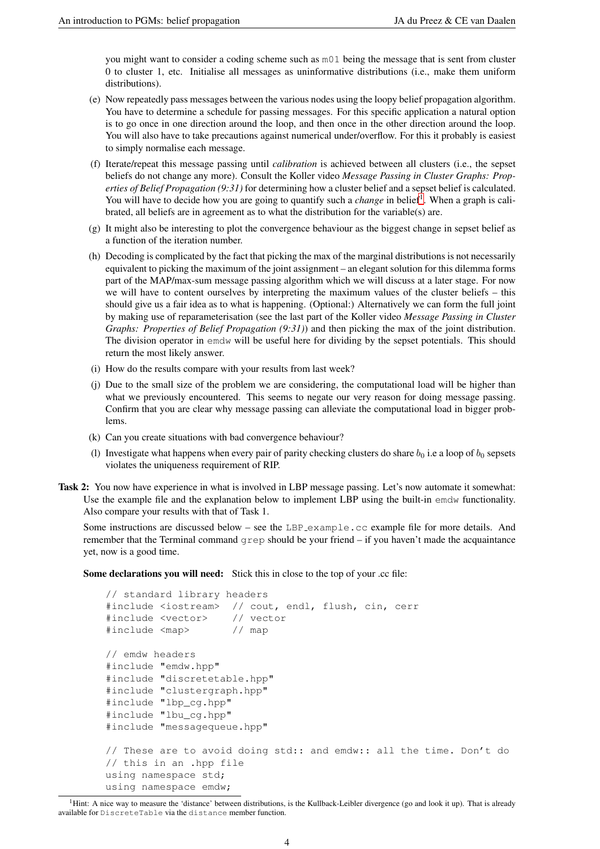you might want to consider a coding scheme such as m01 being the message that is sent from cluster 0 to cluster 1, etc. Initialise all messages as uninformative distributions (i.e., make them uniform distributions).

- (e) Now repeatedly pass messages between the various nodes using the loopy belief propagation algorithm. You have to determine a schedule for passing messages. For this specific application a natural option is to go once in one direction around the loop, and then once in the other direction around the loop. You will also have to take precautions against numerical under/overflow. For this it probably is easiest to simply normalise each message.
- (f) Iterate/repeat this message passing until *calibration* is achieved between all clusters (i.e., the sepset beliefs do not change any more). Consult the Koller video *Message Passing in Cluster Graphs: Properties of Belief Propagation (9:31)* for determining how a cluster belief and a sepset belief is calculated. You will have to decide how you are going to quantify such a *change* in belief<sup>[1](#page-3-0)</sup>. When a graph is calibrated, all beliefs are in agreement as to what the distribution for the variable(s) are.
- (g) It might also be interesting to plot the convergence behaviour as the biggest change in sepset belief as a function of the iteration number.
- (h) Decoding is complicated by the fact that picking the max of the marginal distributions is not necessarily equivalent to picking the maximum of the joint assignment – an elegant solution for this dilemma forms part of the MAP/max-sum message passing algorithm which we will discuss at a later stage. For now we will have to content ourselves by interpreting the maximum values of the cluster beliefs – this should give us a fair idea as to what is happening. (Optional:) Alternatively we can form the full joint by making use of reparameterisation (see the last part of the Koller video *Message Passing in Cluster Graphs: Properties of Belief Propagation (9:31)*) and then picking the max of the joint distribution. The division operator in emdw will be useful here for dividing by the sepset potentials. This should return the most likely answer.
- (i) How do the results compare with your results from last week?
- (j) Due to the small size of the problem we are considering, the computational load will be higher than what we previously encountered. This seems to negate our very reason for doing message passing. Confirm that you are clear why message passing can alleviate the computational load in bigger problems.
- (k) Can you create situations with bad convergence behaviour?
- (l) Investigate what happens when every pair of parity checking clusters do share  $b_0$  i.e a loop of  $b_0$  sepsets violates the uniqueness requirement of RIP.
- Task 2: You now have experience in what is involved in LBP message passing. Let's now automate it somewhat: Use the example file and the explanation below to implement LBP using the built-in emdw functionality. Also compare your results with that of Task 1.

Some instructions are discussed below – see the LBP<sub>-example</sub>.cc example file for more details. And remember that the Terminal command grep should be your friend – if you haven't made the acquaintance yet, now is a good time.

Some declarations you will need: Stick this in close to the top of your .cc file:

```
// standard library headers
#include <iostream> // cout, endl, flush, cin, cerr
#include <vector> // vector
#include <map> // map
// emdw headers
#include "emdw.hpp"
#include "discretetable.hpp"
#include "clustergraph.hpp"
#include "lbp_cg.hpp"
#include "lbu_cg.hpp"
#include "messagequeue.hpp"
// These are to avoid doing std:: and emdw:: all the time. Don't do
// this in an .hpp file
using namespace std;
using namespace emdw;
```
<span id="page-3-0"></span><sup>&</sup>lt;sup>1</sup>Hint: A nice way to measure the 'distance' between distributions, is the Kullback-Leibler divergence (go and look it up). That is already available for DiscreteTable via the distance member function.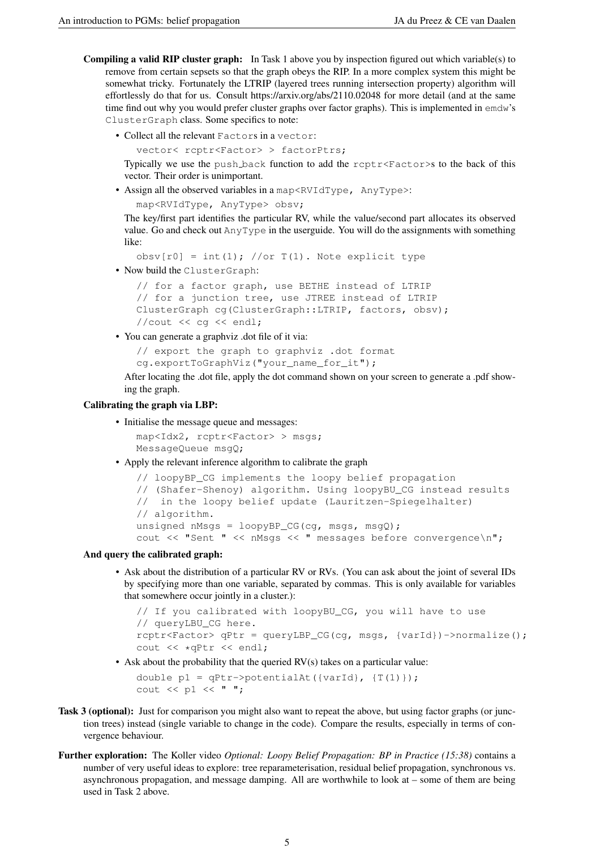- **Compiling a valid RIP cluster graph:** In Task 1 above you by inspection figured out which variable(s) to remove from certain sepsets so that the graph obeys the RIP. In a more complex system this might be somewhat tricky. Fortunately the LTRIP (layered trees running intersection property) algorithm will effortlessly do that for us. Consult https://arxiv.org/abs/2110.02048 for more detail (and at the same time find out why you would prefer cluster graphs over factor graphs). This is implemented in emdw's ClusterGraph class. Some specifics to note:
	- Collect all the relevant Factors in a vector:

```
vector< rcptr<Factor> > factorPtrs;
```
Typically we use the push back function to add the  $r$ cpt $r$  $\leq$  Factor $\geq$ s to the back of this vector. Their order is unimportant.

• Assign all the observed variables in a map<RVIdType, AnyType>: map<RVIdType, AnyType> obsv;

The key/first part identifies the particular RV, while the value/second part allocates its observed value. Go and check out AnyType in the userguide. You will do the assignments with something like:

```
obsv[r0] = int(1); //or T(1). Note explicit type
```
• Now build the ClusterGraph:

```
// for a factor graph, use BETHE instead of LTRIP
// for a junction tree, use JTREE instead of LTRIP
ClusterGraph cg(ClusterGraph::LTRIP, factors, obsv);
//cout << cg << endl;
```
• You can generate a graphviz .dot file of it via:

```
// export the graph to graphviz .dot format
```

```
cg.exportToGraphViz("your_name_for_it");
```
After locating the .dot file, apply the dot command shown on your screen to generate a .pdf showing the graph.

#### Calibrating the graph via LBP:

• Initialise the message queue and messages:

```
map<Idx2, rcptr<Factor> > msgs;
MessageQueue msgQ;
```
• Apply the relevant inference algorithm to calibrate the graph

```
// loopyBP_CG implements the loopy belief propagation
// (Shafer-Shenoy) algorithm. Using loopyBU_CG instead results
// in the loopy belief update (Lauritzen-Spiegelhalter)
// algorithm.
unsigned nMsgs = loopyBP_CG(cq, msg, msgQ);cout << "Sent " << nMsgs << " messages before convergence\n";
```
#### And query the calibrated graph:

• Ask about the distribution of a particular RV or RVs. (You can ask about the joint of several IDs by specifying more than one variable, separated by commas. This is only available for variables that somewhere occur jointly in a cluster.):

```
// If you calibrated with loopyBU CG, you will have to use
// queryLBU_CG here.
rcptr<Factor> qPtr = queryLBP CG(cg, msgs, {varId})->normalize();
cout << *qPtr << endl;
```
• Ask about the probability that the queried RV(s) takes on a particular value:

double  $p1 = qPtr->potentialAt({\{varId\}}, {T(1)}))$ ; cout << p1 << " ";

- Task 3 (optional): Just for comparison you might also want to repeat the above, but using factor graphs (or junction trees) instead (single variable to change in the code). Compare the results, especially in terms of convergence behaviour.
- Further exploration: The Koller video *Optional: Loopy Belief Propagation: BP in Practice (15:38)* contains a number of very useful ideas to explore: tree reparameterisation, residual belief propagation, synchronous vs. asynchronous propagation, and message damping. All are worthwhile to look at – some of them are being used in Task 2 above.